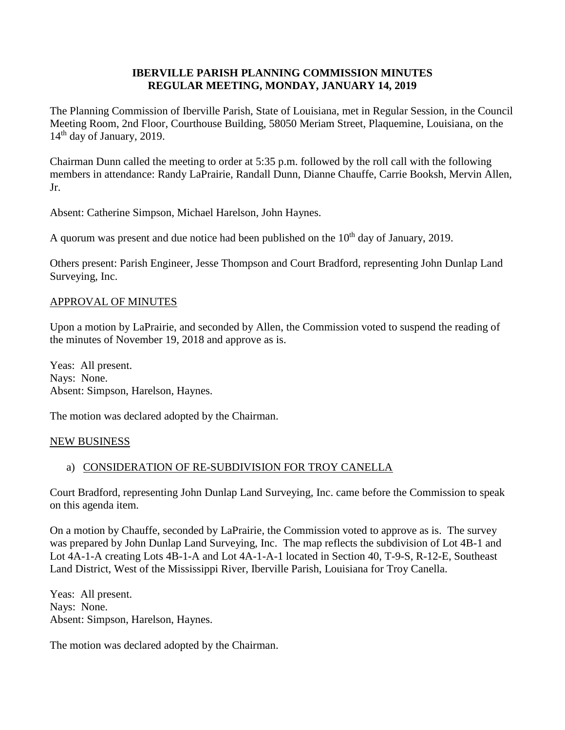### **IBERVILLE PARISH PLANNING COMMISSION MINUTES REGULAR MEETING, MONDAY, JANUARY 14, 2019**

The Planning Commission of Iberville Parish, State of Louisiana, met in Regular Session, in the Council Meeting Room, 2nd Floor, Courthouse Building, 58050 Meriam Street, Plaquemine, Louisiana, on the 14<sup>th</sup> day of January, 2019.

Chairman Dunn called the meeting to order at 5:35 p.m. followed by the roll call with the following members in attendance: Randy LaPrairie, Randall Dunn, Dianne Chauffe, Carrie Booksh, Mervin Allen, Jr.

Absent: Catherine Simpson, Michael Harelson, John Haynes.

A quorum was present and due notice had been published on the  $10<sup>th</sup>$  day of January, 2019.

Others present: Parish Engineer, Jesse Thompson and Court Bradford, representing John Dunlap Land Surveying, Inc.

### APPROVAL OF MINUTES

Upon a motion by LaPrairie, and seconded by Allen, the Commission voted to suspend the reading of the minutes of November 19, 2018 and approve as is.

Yeas: All present. Nays: None. Absent: Simpson, Harelson, Haynes.

The motion was declared adopted by the Chairman.

### NEW BUSINESS

# a) CONSIDERATION OF RE-SUBDIVISION FOR TROY CANELLA

Court Bradford, representing John Dunlap Land Surveying, Inc. came before the Commission to speak on this agenda item.

On a motion by Chauffe, seconded by LaPrairie, the Commission voted to approve as is. The survey was prepared by John Dunlap Land Surveying, Inc. The map reflects the subdivision of Lot 4B-1 and Lot 4A-1-A creating Lots 4B-1-A and Lot 4A-1-A-1 located in Section 40, T-9-S, R-12-E, Southeast Land District, West of the Mississippi River, Iberville Parish, Louisiana for Troy Canella.

Yeas: All present. Nays: None. Absent: Simpson, Harelson, Haynes.

The motion was declared adopted by the Chairman.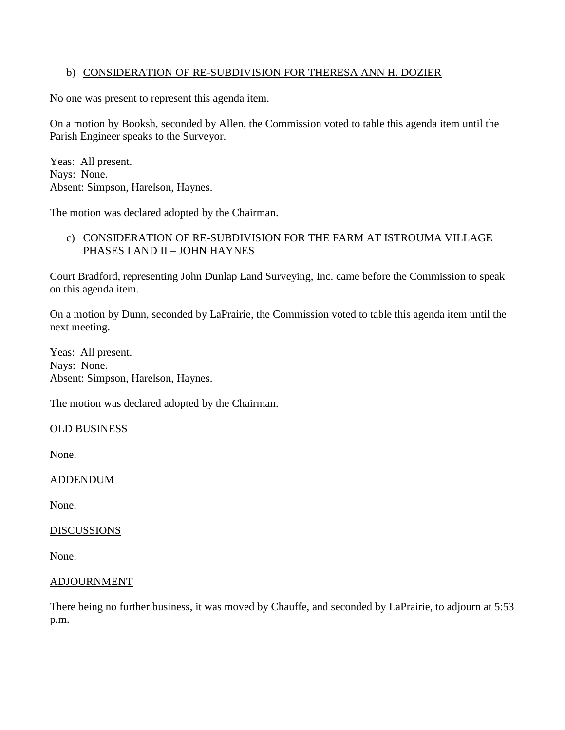### b) CONSIDERATION OF RE-SUBDIVISION FOR THERESA ANN H. DOZIER

No one was present to represent this agenda item.

On a motion by Booksh, seconded by Allen, the Commission voted to table this agenda item until the Parish Engineer speaks to the Surveyor.

Yeas: All present. Nays: None. Absent: Simpson, Harelson, Haynes.

The motion was declared adopted by the Chairman.

## c) CONSIDERATION OF RE-SUBDIVISION FOR THE FARM AT ISTROUMA VILLAGE PHASES I AND II – JOHN HAYNES

Court Bradford, representing John Dunlap Land Surveying, Inc. came before the Commission to speak on this agenda item.

On a motion by Dunn, seconded by LaPrairie, the Commission voted to table this agenda item until the next meeting.

Yeas: All present. Nays: None. Absent: Simpson, Harelson, Haynes.

The motion was declared adopted by the Chairman.

### OLD BUSINESS

None.

### ADDENDUM

None.

### **DISCUSSIONS**

None.

### ADJOURNMENT

There being no further business, it was moved by Chauffe, and seconded by LaPrairie, to adjourn at 5:53 p.m.